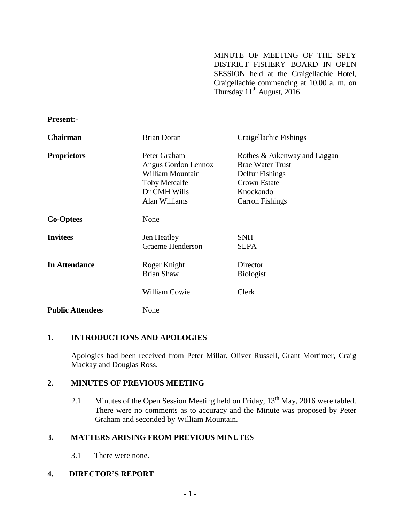MINUTE OF MEETING OF THE SPEY DISTRICT FISHERY BOARD IN OPEN SESSION held at the Craigellachie Hotel, Craigellachie commencing at 10.00 a. m. on Thursday  $11^{th}$  August, 2016

| rresent:-               |                                                                                                                  |                                                                                                                                          |
|-------------------------|------------------------------------------------------------------------------------------------------------------|------------------------------------------------------------------------------------------------------------------------------------------|
| <b>Chairman</b>         | <b>Brian Doran</b>                                                                                               | Craigellachie Fishings                                                                                                                   |
| <b>Proprietors</b>      | Peter Graham<br>Angus Gordon Lennox<br>William Mountain<br><b>Toby Metcalfe</b><br>Dr CMH Wills<br>Alan Williams | Rothes & Aikenway and Laggan<br><b>Brae Water Trust</b><br>Delfur Fishings<br><b>Crown Estate</b><br>Knockando<br><b>Carron Fishings</b> |
| <b>Co-Optees</b>        | None                                                                                                             |                                                                                                                                          |
| <b>Invitees</b>         | Jen Heatley<br>Graeme Henderson                                                                                  | <b>SNH</b><br><b>SEPA</b>                                                                                                                |
| <b>In Attendance</b>    | Roger Knight<br><b>Brian Shaw</b>                                                                                | Director<br><b>Biologist</b>                                                                                                             |
|                         | <b>William Cowie</b>                                                                                             | <b>Clerk</b>                                                                                                                             |
| <b>Public Attendees</b> | None                                                                                                             |                                                                                                                                          |

# **1. INTRODUCTIONS AND APOLOGIES**

**Present:-**

Apologies had been received from Peter Millar, Oliver Russell, Grant Mortimer, Craig Mackay and Douglas Ross.

### **2. MINUTES OF PREVIOUS MEETING**

2.1 Minutes of the Open Session Meeting held on Friday, 13<sup>th</sup> May, 2016 were tabled. There were no comments as to accuracy and the Minute was proposed by Peter Graham and seconded by William Mountain.

## **3. MATTERS ARISING FROM PREVIOUS MINUTES**

3.1 There were none.

## **4. DIRECTOR'S REPORT**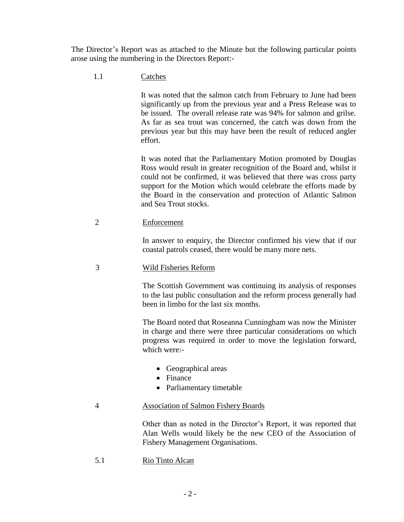The Director's Report was as attached to the Minute but the following particular points arose using the numbering in the Directors Report:-

1.1 Catches

It was noted that the salmon catch from February to June had been significantly up from the previous year and a Press Release was to be issued. The overall release rate was 94% for salmon and grilse. As far as sea trout was concerned, the catch was down from the previous year but this may have been the result of reduced angler effort.

It was noted that the Parliamentary Motion promoted by Douglas Ross would result in greater recognition of the Board and, whilst it could not be confirmed, it was believed that there was cross party support for the Motion which would celebrate the efforts made by the Board in the conservation and protection of Atlantic Salmon and Sea Trout stocks.

2 Enforcement

In answer to enquiry, the Director confirmed his view that if our coastal patrols ceased, there would be many more nets.

3 Wild Fisheries Reform

The Scottish Government was continuing its analysis of responses to the last public consultation and the reform process generally had been in limbo for the last six months.

The Board noted that Roseanna Cunningham was now the Minister in charge and there were three particular considerations on which progress was required in order to move the legislation forward, which were:-

- Geographical areas
- Finance
- Parliamentary timetable

### 4 Association of Salmon Fishery Boards

Other than as noted in the Director's Report, it was reported that Alan Wells would likely be the new CEO of the Association of Fishery Management Organisations.

5.1 Rio Tinto Alcan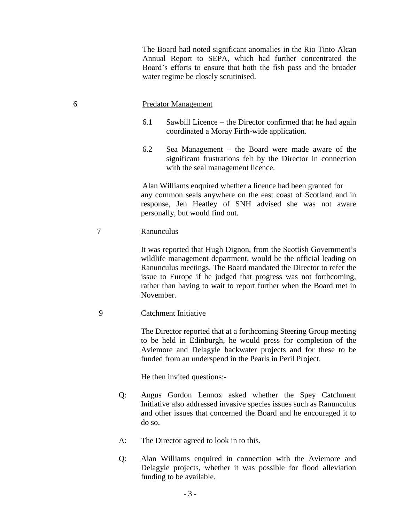The Board had noted significant anomalies in the Rio Tinto Alcan Annual Report to SEPA, which had further concentrated the Board's efforts to ensure that both the fish pass and the broader water regime be closely scrutinised.

#### 6 Predator Management

- 6.1 Sawbill Licence the Director confirmed that he had again coordinated a Moray Firth-wide application.
- 6.2 Sea Management the Board were made aware of the significant frustrations felt by the Director in connection with the seal management licence.

Alan Williams enquired whether a licence had been granted for any common seals anywhere on the east coast of Scotland and in response, Jen Heatley of SNH advised she was not aware personally, but would find out.

#### 7 Ranunculus

It was reported that Hugh Dignon, from the Scottish Government's wildlife management department, would be the official leading on Ranunculus meetings. The Board mandated the Director to refer the issue to Europe if he judged that progress was not forthcoming, rather than having to wait to report further when the Board met in November.

### 9 Catchment Initiative

The Director reported that at a forthcoming Steering Group meeting to be held in Edinburgh, he would press for completion of the Aviemore and Delagyle backwater projects and for these to be funded from an underspend in the Pearls in Peril Project.

He then invited questions:-

- Q: Angus Gordon Lennox asked whether the Spey Catchment Initiative also addressed invasive species issues such as Ranunculus and other issues that concerned the Board and he encouraged it to do so.
- A: The Director agreed to look in to this.
- Q: Alan Williams enquired in connection with the Aviemore and Delagyle projects, whether it was possible for flood alleviation funding to be available.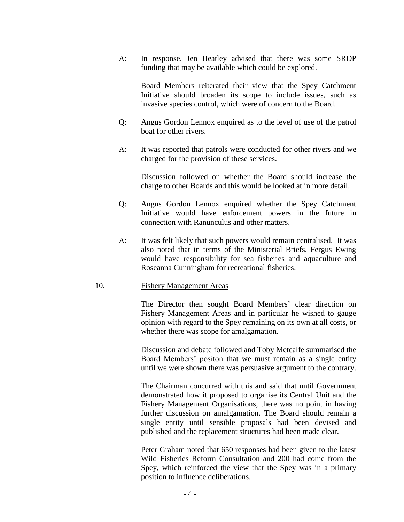A: In response, Jen Heatley advised that there was some SRDP funding that may be available which could be explored.

Board Members reiterated their view that the Spey Catchment Initiative should broaden its scope to include issues, such as invasive species control, which were of concern to the Board.

- Q: Angus Gordon Lennox enquired as to the level of use of the patrol boat for other rivers.
- A: It was reported that patrols were conducted for other rivers and we charged for the provision of these services.

Discussion followed on whether the Board should increase the charge to other Boards and this would be looked at in more detail.

- Q: Angus Gordon Lennox enquired whether the Spey Catchment Initiative would have enforcement powers in the future in connection with Ranunculus and other matters.
- A: It was felt likely that such powers would remain centralised. It was also noted that in terms of the Ministerial Briefs, Fergus Ewing would have responsibility for sea fisheries and aquaculture and Roseanna Cunningham for recreational fisheries.

#### 10. Fishery Management Areas

The Director then sought Board Members' clear direction on Fishery Management Areas and in particular he wished to gauge opinion with regard to the Spey remaining on its own at all costs, or whether there was scope for amalgamation.

Discussion and debate followed and Toby Metcalfe summarised the Board Members' positon that we must remain as a single entity until we were shown there was persuasive argument to the contrary.

The Chairman concurred with this and said that until Government demonstrated how it proposed to organise its Central Unit and the Fishery Management Organisations, there was no point in having further discussion on amalgamation. The Board should remain a single entity until sensible proposals had been devised and published and the replacement structures had been made clear.

Peter Graham noted that 650 responses had been given to the latest Wild Fisheries Reform Consultation and 200 had come from the Spey, which reinforced the view that the Spey was in a primary position to influence deliberations.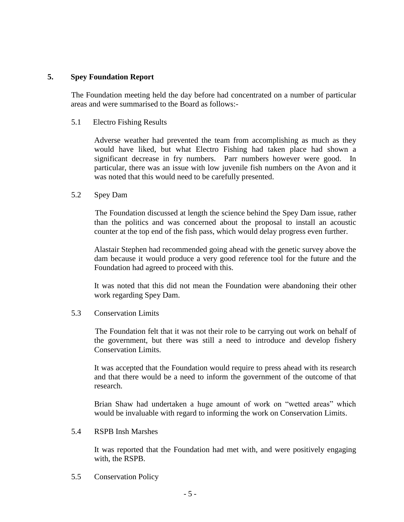## **5. Spey Foundation Report**

The Foundation meeting held the day before had concentrated on a number of particular areas and were summarised to the Board as follows:-

5.1 Electro Fishing Results

Adverse weather had prevented the team from accomplishing as much as they would have liked, but what Electro Fishing had taken place had shown a significant decrease in fry numbers. Parr numbers however were good. In particular, there was an issue with low juvenile fish numbers on the Avon and it was noted that this would need to be carefully presented.

5.2 Spey Dam

The Foundation discussed at length the science behind the Spey Dam issue, rather than the politics and was concerned about the proposal to install an acoustic counter at the top end of the fish pass, which would delay progress even further.

Alastair Stephen had recommended going ahead with the genetic survey above the dam because it would produce a very good reference tool for the future and the Foundation had agreed to proceed with this.

It was noted that this did not mean the Foundation were abandoning their other work regarding Spey Dam.

### 5.3 Conservation Limits

The Foundation felt that it was not their role to be carrying out work on behalf of the government, but there was still a need to introduce and develop fishery Conservation Limits.

It was accepted that the Foundation would require to press ahead with its research and that there would be a need to inform the government of the outcome of that research.

Brian Shaw had undertaken a huge amount of work on "wetted areas" which would be invaluable with regard to informing the work on Conservation Limits.

5.4 RSPB Insh Marshes

It was reported that the Foundation had met with, and were positively engaging with, the RSPB.

5.5 Conservation Policy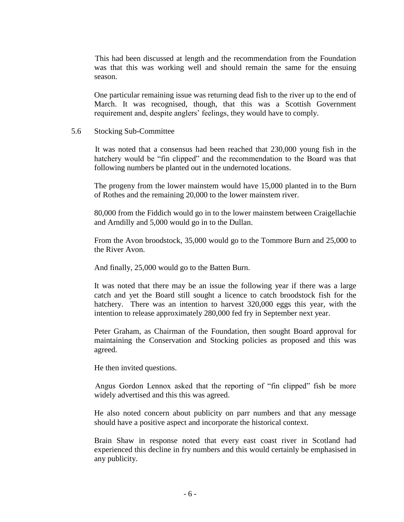This had been discussed at length and the recommendation from the Foundation was that this was working well and should remain the same for the ensuing season.

One particular remaining issue was returning dead fish to the river up to the end of March. It was recognised, though, that this was a Scottish Government requirement and, despite anglers' feelings, they would have to comply.

#### 5.6 Stocking Sub-Committee

It was noted that a consensus had been reached that 230,000 young fish in the hatchery would be "fin clipped" and the recommendation to the Board was that following numbers be planted out in the undernoted locations.

The progeny from the lower mainstem would have 15,000 planted in to the Burn of Rothes and the remaining 20,000 to the lower mainstem river.

80,000 from the Fiddich would go in to the lower mainstem between Craigellachie and Arndilly and 5,000 would go in to the Dullan.

From the Avon broodstock, 35,000 would go to the Tommore Burn and 25,000 to the River Avon.

And finally, 25,000 would go to the Batten Burn.

It was noted that there may be an issue the following year if there was a large catch and yet the Board still sought a licence to catch broodstock fish for the hatchery. There was an intention to harvest 320,000 eggs this year, with the intention to release approximately 280,000 fed fry in September next year.

Peter Graham, as Chairman of the Foundation, then sought Board approval for maintaining the Conservation and Stocking policies as proposed and this was agreed.

He then invited questions.

Angus Gordon Lennox asked that the reporting of "fin clipped" fish be more widely advertised and this this was agreed.

He also noted concern about publicity on parr numbers and that any message should have a positive aspect and incorporate the historical context.

Brain Shaw in response noted that every east coast river in Scotland had experienced this decline in fry numbers and this would certainly be emphasised in any publicity.